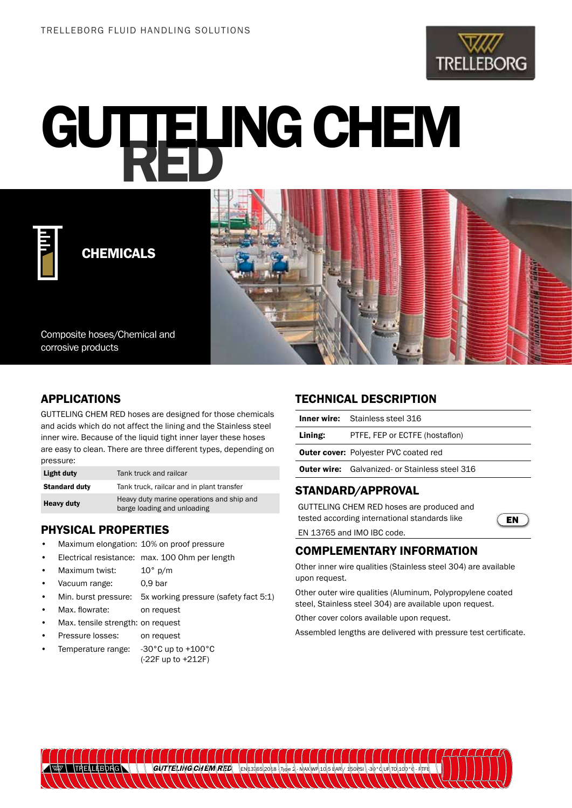

# **GUTTELING CHEM**



CHEMICALS



# APPLICATIONS

GUTTELING CHEM RED hoses are designed for those chemicals and acids which do not affect the lining and the Stainless steel inner wire. Because of the liquid tight inner layer these hoses are easy to clean. There are three different types, depending on pressure:

| Light duty           | Tank truck and railcar                                                   |
|----------------------|--------------------------------------------------------------------------|
| <b>Standard duty</b> | Tank truck, railcar and in plant transfer                                |
| <b>Heavy duty</b>    | Heavy duty marine operations and ship and<br>barge loading and unloading |

# PHYSICAL PROPERTIES

- Maximum elongation: 10% on proof pressure
- Electrical resistance: max. 100 Ohm per length
- Maximum twist: 10° p/m
- Vacuum range: 0,9 bar
- Min. burst pressure: 5x working pressure (safety fact 5:1)
- Max. flowrate: on request
- Max. tensile strength: on request
- Pressure losses: on request
- Temperature range: -30°C up to +100°C (-22F up to +212F)

#### TECHNICAL DESCRIPTION

|         | <b>Inner wire:</b> Stainless steel 316                |
|---------|-------------------------------------------------------|
| Lining: | PTFE, FEP or ECTFE (hostaflon)                        |
|         | <b>Outer cover: Polyester PVC coated red</b>          |
|         | <b>Outer wire:</b> Galvanized- or Stainless steel 316 |
|         |                                                       |

EN

# STANDARD/APPROVAL

GUTTELING CHEM RED hoses are produced and tested according international standards like

EN 13765 and IMO IBC code.

# COMPLEMENTARY INFORMATION

Other inner wire qualities (Stainless steel 304) are available upon request.

Other outer wire qualities (Aluminum, Polypropylene coated steel, Stainless steel 304) are available upon request.

Other cover colors available upon request.

Assembled lengths are delivered with pressure test certificate.